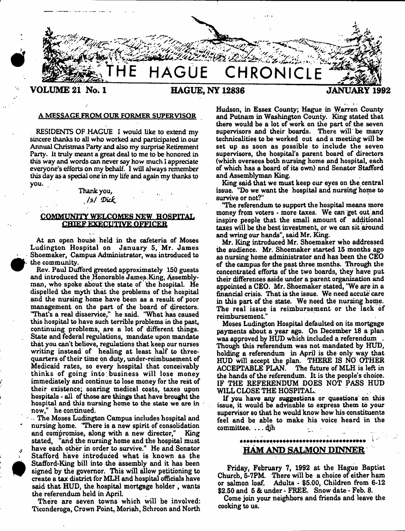

#### A MESSAGE FROM OUR FORMER SUPERVISOR

RESIDENTS OF HAGUE I would like to extend my sincere thanks to all who worked and participated in our Annual Christinas Party and also my surprise Retirement Party. It truly meant a great deal to me to be honored in this way and words can never say how much 1 appreciate everyone's efforts on my behalf. I will always remember this day as a special one in my life and again my thanks to you.

#### Thank you, */ \$ / 'D i c k .*

## **COMMUNITY WELCOMES NEW HOSPITAL CHIEF EXECUTIVE OFFICER**

At an open house held in the cafeteria of Moses Ludington Hospital on January 5, Mr. James Shoemaker, Campus Administrator, was introduced to the community.

Eev. Paul Dufford greeted approximately 150 guests and introduced the Honorable James King, Assemblyman, who spoke about the state of the hospital. He dispelled the myth that the problems of the hospital and the nursing home have been as a result of poor management on the part of the board of directors. "That's a real disservice," he said. "What has caused this hospital to have such terrible problems in the past, continuing problems, are a lot of different things. State and federal regulations, mandate upon mandate that you can't believe, regulations that keep our nurses writing instead of healing at least half to threequarters of their time on duty, under-reimbusement of Medicaid rates, so every hospital that conceivably thinks of going into business will lose money immediately and continue to lose money for the rest of their existence; soaring medical costs, taxes upon hospitals - all of those are things that have brought the hospital and this nursing home to the state we are in now," he continued.

- The Moses Ludington Campus includes hospital and nursing home. "There is a new spirit of consolidation and compromise, along with a new director," King stated, "and the nursing home and the hospital must have each other in order to survive." He and Senator Stafford have introduced what is known as the Stafford-King bill into the assembly and it has been signed by the governor. This will allow petitioning to create a tax district for MLH and hospital officials have said that HUD, the hospital mortgage holder, wants the referendum held in April.

There are seven towns which will be involved: Ticonderoga, Crown Point, Moriah, Schroon and North Hudson, in Essex County; Hague in Warren County and Putnam in Washington County. King stated that there would be a lot of work on the part of the seven supervisors and their boards. There will be many technicalities to be worked out and a meeting will be set up as soon as possible to include the seven supervisors, the hospital's parent board of directors (which oversees both nursing home and hospital, each of which has a board of its own) and Senator Stafford and Assemblyman King.

King said that we must keep our eyes on the central issue. "Do we want the hospital and nursing home to survive or not?"

"The referendum to support the hospital means more money from voters - more taxes. We can get out and inspire people that the small amount of additional taxes will be the best investment, or we can sit around and wring our hands", said Mr. King.

Mr. King introduced Mr. Shoemaker who addressed the audience. Mr. Shoemaker started 15 months ago as nursing home administrator and has been the CEO of the campus for the past three months. Through the concentrated efforts of the two boards, they have put their differences aside under a parent organization and appointed a CEO. Mr. Shoemaker stated, 'We are in a financial crisis. That is the issue. We need accute care in this part of the state. We need the nursing home. The real issue is reimbursement or the lack of reimbursement."

Moses Ludington Hospital defaulted on its mortgage payments about a year ago. On December 18 a plan was approved by HUD which included a referendum Though this referendum was not mandated by HUD, holding a referendum in April is the only way that HUD will accept the plan. THERE IS NO OTHER<br>ACCEPTABLE PLAN. The future of MLH is left in The future of MLH is left in the hands of the referendum. It is the people's choice. IF THE REFERENDUM DOES NOT PASS HUD WILL CLOSE THE HOSPITAL.

If you have any suggestions or questions on this issue, it would be advisable to express them to your supervisor so that he would know how his constituents feel and be able to make his voice heard in the committee. . . . 4jh

# HAM AND SALMON DINNER

Friday, February 7, 1992 at the Hague Baptist Church, 5-7PM. There will be a choice of either ham or salmon loaf. Adults - \$5.00, Children from 6-12 \$2.50 and 5 & under - FREE. Snow date - Feb. 8.

Come join your neighbors and friends and leave the cooking to us.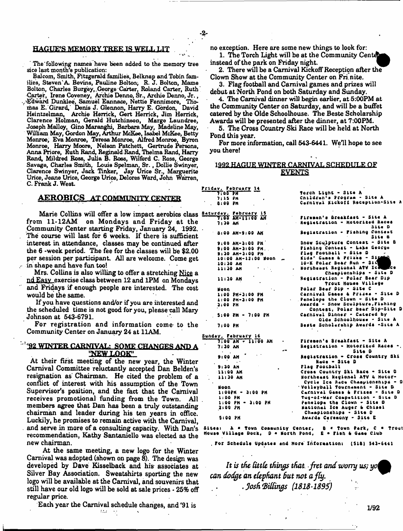#### **HAGUE'S MEMORY TREE IS WELL LIT**

The following names have been added to the memory tree sice last month's publication:

Balcom, Smith, Fitzgerald families, Belknap and Tobin families, Steven'A. Bevins, Pauline Bolton; R. J. Bolton, Mama Bolton, Charles Burgey,,George Carter, Roland Carter, Ruth' Carter, Irene Coveney, Archie Denno, Sr., Archie Denno, Jr., Edward Dunklee, Samuel Eannace, Nettie Fennimore, Thorbas E. Girard,' Denis J. Glennon, Harry E. Gordon, David Heintzelman, Archie Herrick, Gert Herrick, Jim Herrick, Clarence Holman, Gerald Hutchinson, Marge Laundree, Joseph Malloy, Gino Maranghi, Barbara May, Madeline May, William May, Gordon May, Arthur McKee, Isabel McKee, Betty Monroe, Eva Monroe, Teresa Monroe, Alfred Monroe, Byron Monroe, Harry Moore, Nelson Patchett, Gertrude Persons, Anna Priore, Ruth Rand, Reginald Rand, Thelma Rand, Harry Rand, Mildred Rose, Julia B. Roes, Wilford C. Ross, George Savage, Charles Smith, Louis Spelman, Sr., Dollie Swinyer, Clarence Swinyer, Jack linker, Jay Urice Sr., Marguerite Urice, Jeane Urice, George Urice, Delores Ward, John Warren, C. Frank J. West.

#### AEROBICS AT COMMUNITY CENTER

Marie Collins will offer a low impact aerobics class **Saturday.** Tebruary 15<br>c, 11, 12 AM, and Mondows, and Friday at the 1100 Mr. 11100 M from 11-12AM on Mondays and Friday at the Community Center starting Friday, January 24, 1992. The course will last for 6 weeks. If there is sufficient interest in attendance, classes may be continued after the 6 -week period. The fee for the classes will be \$2.00 per session per participant. All are welcome. Come get in shape and have fun tool

Mrs. Collins is also willing to offer a stretching Nice a ndEasv exercise class between 12 and 1PM on Mondays and Fridays if enough people are interested. The cost would be the same.

If you have questions and/or if you are interested and the scheduled time is not good for you, please call Mary Johnson at 543-6791.

For registration and information come to the Community Center on January 24 at 11AM.

#### $^{1.4}$ '92 WINTER CARNIVAL: SOME CHANGES AND A *" f W L Q Q K '*

At their first meeting of the new year, the Winter Carnival Committee reluctantly accepted Dan Belden' resignation as Chairman. He cited the problem of a conflict of interest with his assumption of the Town Supervisor's position, and the fact that the Carniva receives promotional funding from the Town. All members agree that Dan has been a truly outstanding chairman and leader during his ten years in office. Luckily, he promises to remain active with the Carnival, and serve in more of a consulting capacity. With Dan's recommendation, Kathy Santaniello was elected as the new chairman.

At the same meeting, a new logo for the Winter Carnival was adopted (shown on page 8). The design was developed by Dave Kisselback and his- associates at Silver Bay Association. Sweatshirts sporting the new logo will be available at the Carnival, and souvenirs that still have our old logo will be sold at sale prices • 25% off regular price.

Each year the Carnival schedule changes, and 491 is

no exception. Here are some new things to look for:

1. The Torch Light will be at the Community Cen instead of the park on Friday night.

2. There will be a Carnival Kickoff Reception after the Clown Show at the Community Center on Fri.nite.

3. Flag football and Carnival games and prizes will debut at North Pond on both Saturday and Sunday.

4. The Carnival dinner will begin earlier, at 5:00PM at the Community Center on Saturday, and will be a buffet catered by the Olde Schoolhouse. The Beste Scholarship Awards will be presented after the dinner, at 7:00PM.

5. The Cross Country Ski Race will be held at North Pond this year.

For more information, call 543-6441. We'll hope to see you there!

# **1992 HAGUE WINTER CARNIVAL SCHEDULE QE**

Torch Light - Site A<br>Cnildren's Program - Site A Carnival Kickoff Reception-Sit

Piremen's Breakfast - Site A Registration - Motorized Races

Snow Sculpture Contest - Site B Pishing Contest - Lake George

Registration - Fishing Consest

Site D

Site a

Sida' Gumes & Prizes - Sida<br>10-K Polsr Boar Run - Sida<br>Northeast Regional ATV Ic ...

Registration - Polar Bear Dip Trout House Village

Championships - Site D

Olde Schoolhouse - Site A Beste Scholarship Awards -Site A

Flag football - Site D<br>Kida' Games & Prizes -

Polar Bear Pip - Site C Carnival Gemes & Prises - Site Penelope the Clown - Site D<br>Awards - Snow Sculpture,Fishing Awards'- Snow Sculpture, Pishing<br> **Contest, Polar Bear Dip-Site** Carnival Pinner - Catered by

Friday, February 14 7:15 PM 8 i 00 FM

> 7 t30 AM St Q0 A M - 9;00 AM 9t00 AK-3(00 PH 9(00 AH-3100 PH 9 1 30 A M \* 3 100 PM 10:00 AH-131 00 Moon 10:30 AM 11:30 AM 11(30 AH Neon ItOO P H - 3 (00 PH 1:00 PH-3:00 PM 3(00 PM

5;00 PH - 7 t00 PH

7(00 PH

|    | Sunday, Pabruary 16                         |                                                                     |
|----|---------------------------------------------|---------------------------------------------------------------------|
|    | <b>MA OTAH - TATOO AM</b><br>$\blacksquare$ | Piremen's Breakfast - Site A                                        |
|    | 7:30 AM                                     | Registration - Motorized Races -                                    |
|    |                                             | Site D                                                              |
|    | 9190 AM                                     | Registration - Crose Country Ski                                    |
|    |                                             | Raca - Site D                                                       |
|    | 9:30 <sub>h</sub> h                         | Plag Football                                                       |
| ß  | $-11:00$ AM                                 | Cross Country Ski Race - Site D                                     |
| B. | 11:30 AM                                    | Northeast Negional ATV & Motor-<br>Cycle Ice Rece Chaspionships - D |
|    | Noon                                        | Wolleyball Tournament - Site D                                      |
| J  | $1:00P M - 3:00 P M$                        | Carnival Games & Prizes - Site D                                    |
|    | 1.00 PM                                     | Tug-of-War Competition - Site D                                     |
| ł. | $1:00$ PM $\sim$ 3:00 PM                    | Penelope the Clown - Site D                                         |
| g  | 2:00 PM                                     | National Ice Auger & Chisel                                         |
|    |                                             | Championahips - Site D                                              |
|    | 5:00 PM                                     | Awards Ceremony - Site E                                            |
|    |                                             |                                                                     |

Sites:  $A = \text{Down}$  Community Center,  $B = \text{Down}$  Park,  $C = \text{Now}$  Willage Dock,  $D = \text{Work}$  Pond,  $E = \text{Path}$  & Game Club House Village Dock, D \* North Pond, *t* \* Fish fa Caae Club

. For Schedule Updates and Hore Information: (Si8) 543-6441

*It is the tittle things that, fret and worry us; yo can dodge an elephant But not a fly.* . *Josh hidings (1818-189i)*

1/92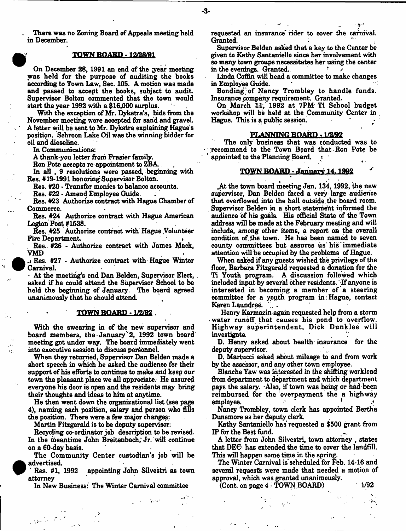There was no Zoning Board of Appeals meeting held in December.

#### TOWN BOARD -12/28/91

On December 28, 1991 an end of the year meeting was held for the purpose of auditing the books according to Town Law, Sec. 105. A motion was made and passed to accept the books, subject to audit. Supervisor Bolton commented that the town would start the year 1992 with a \$16,000 surplus.

With the exception of Mr. Dykstra's, bids from the November meeting were accepted for sand and gravel. A letter will be sent to Mr. Dykstra explaining Hague's position. Schroon Lake Oil was the winning bidder for oil and dieseline.

In Communications:

A thank-you letter from Frasier family.

Ron Pote accepts re-appointment to ZBA

In all , 9 resolutions were passed, beginning with Res. #19-1991 honoring Supervisor Bolton.

Res. #20 - Transfer monies to balance accounts.

Res. #22 - Amend Employee Guide,

Res. #23 Authorize contract with Hague Chamber of Commerce.

Res. #24 Authorize contract with Hague American Legion Post #1538.

Res. #25 Authorize contract with Hague .Volunteer Fire Department.

Res.. #26 - Authorize contract with James Mack, VMD

*<sup>a</sup>* Res. #27 - Authorize contract with Hague Winter Carnival

- At the meeting's end Dan Belden, Supervisor Elect, asked if he could attend the Supervisor School to be held the beginning of January. The board agreed unanimously that he should attend.

#### **TOWN BOARD -1/2/92**

With the swearing in of the new supervisor and board members, the January 2, 1992 town board meeting got under way. The board immediately went into executive session to discuss personnel

When they returned, Supervisor Dan Belden made a short speech in which he asked the audience for their support of his efforts to continue to make and keep our town the pleasant place we all appreciate. He assured everyone his door is open and the residents may bring their thoughts and ideas to him at anytime.

He then went down the organizational list (see page 4), naming each position, salary and person who fills the position. There were a few major changes:

Martin Fitzgerald is to be deputy supervisor.

Recycling co-ordinator job description to be revised. In the meantime John Breitenbach, Jr. will continue on a 60-day basis.

The Community Center custodian's job will be advertised.

' Res. #1, 1992 appointing John Silvestri as town attorney

In New Business: The Winter Carnival committee

 $\sim 10^{11}$  and  $\sim 10^{11}$ 

 $\sim 10^{-2}$ 

requested an insurance' rider to cover the carnival. Granted.

Supervisor Belden asked that a key to the Center be given to Kathy Santaniello since her involvement with so many town groups necessitates her using the center in the evenings. Granted..

Linda Coffin will head a committee to make changes in Employee Guide.

Bonding of Nancy Trombley to handle funds. Insurance company requirement. Granted.

On March 11, 1992 at 7PM Ti School budget workshop will be held at the Community Center in Hague. This is a public session.

#### PLANNING BOARD. 1/2/B2

The only business that was conducted was to recommend to the Town Board that Ron Pote be appointed to the Planning Board,  $\ddot{\phantom{a}}$ 

#### TOWN BOARD - .lanim rv 14.1992 *'*

\_At the town board meeting Jan. 134, 1992, the new supervisor, Dan Belden faced a very large audience that overflowed into the hall outside the board room. Supervisor Belden in a short statement informed the audience of his goals. His official State of the Town address will be made at the February meeting and will include, among other items, a report on the overall condition of. the town. He has been named to seven county committees but assures us his immediate attention will be occupied by the problems of Hague.

When asked if any guests wished the privilege of the floor, Barbara Fitzgerald requested a donation for the Ti Youth program. A discussion followed which included input by several other residents. If anyone is interested in becoming a member of a steering committee for a yopth program in: Hague, contact Karen Laundree.

Henry Karmazin again requested help from a storm water runoff that causes his pond to overflow. Highway superintendent, Dick Dunklee will investigate.

D. Henry asked about health insurance for the deputy supervisor.

D. Martucci asked about mileage to and from work by the assessor, and any other town employee.

Blanche Yaw was interested in the shifting workload from department to department and which department pays the salary. Also, if town was being or had been reimbursed for the overpayment the a highway employee.

Nancy Trombley, town clerk has appointed Bertha Dunsmore as her deputy clerk.

Kathy Santaniello has requested a \$500 grant from IP for the Best fund.

A letter from John Silvestri, town attorney , states that BEG has extended the time to cover the landfill: This will happen some time in the spring.

The Winter Carnival is scheduled for Feb. 14-16 and several requests were made that needed a motion of approval, which was granted unanimously.

 $(Cont. on page 4 - TOWN BOARD)$  1/92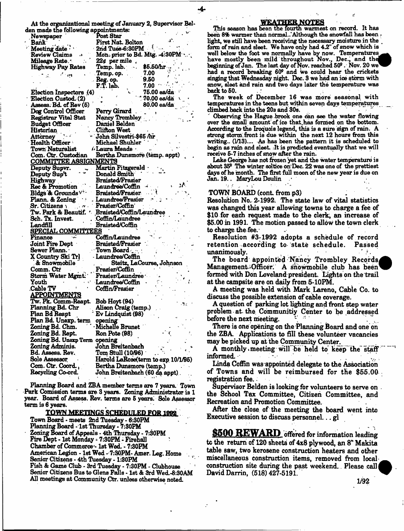At the organizational meeting of January 2, Supervisor Belden made the tments: v.

| den made the following appointments: |                                 |                                    |
|--------------------------------------|---------------------------------|------------------------------------|
| Newspaper                            | Post Star                       |                                    |
| <b>Bank</b>                          | First Nat. Bolton               |                                    |
| Meeting date                         | $2nd$ Tues-6:30PM $^{-1}$       |                                    |
| Review Claims<br>48                  |                                 | Mon. prior to Bd. Mtg. 4:30PM      |
| Mileage Rate. <sup>.</sup>           | $224$ per mile.                 |                                    |
| Highway Pay Rates                    | Temp. lab.                      | $$5.50/hr$ .                       |
| ं ता                                 | Temp. op.                       | 7.00                               |
|                                      |                                 | 9.50                               |
|                                      | Reg. op.<br>F.T. lab.           | 7.00                               |
| Election Inspectors (4)              |                                 | $75.00$ ea/da                      |
| Election Custod. (2)                 |                                 | 70.00 es/dá                        |
| Assess. Bd. of Rev (5)               |                                 | 80.00 ea/da                        |
| Dog Control Officer                  | Perry Girard                    |                                    |
| <b>Registrar Vital Stat</b>          | Nancy Trombley                  |                                    |
| <b>Budget Officer</b>                | Daniel Belden                   |                                    |
| Historian                            | <b>Clifton West</b>             |                                    |
| Attorney                             | John Silvestri-\$65 /hr         |                                    |
| Health Officer                       | Michael Shuhler                 |                                    |
| Town Naturalist                      | <b><i>Claura Meade</i></b>      |                                    |
| Com. Ctr. Custodian                  | Bertha Dunsmore (temp. appt)    |                                    |
| <u>COMMITTEE ASSIGNMENTS</u>         |                                 |                                    |
| Deputy Supvr.                        | Martin Fitzgerald -             |                                    |
| Deputy Sup't                         | Donald Smith <sup>.</sup>       |                                    |
| Highway                              | <b>Braisted/Frasier</b>         |                                    |
| Rec & Promotion                      | Laundree/Coffin                 |                                    |
| Bldgs & Grounds <sup>v</sup>         | Braisted/Frasier                |                                    |
| Plann. & Zoning                      | Laundree/Frasier                |                                    |
| Sr. Citizens                         | Frasier/Coffin'                 |                                    |
| Tw. Park & Beautif.                  |                                 |                                    |
|                                      | Braisted/Coffin/Laundree        |                                    |
| Sch. Tx. Invest.                     | Coffin/Laundree                 |                                    |
| Landfill                             | Braisted/Coffin                 |                                    |
| <u>SPECIAL COMMITTEES</u>            | Coffin/Laundree                 |                                    |
| r'inance :                           |                                 |                                    |
| Joint Fire Dept                      | Braisted/Franier                |                                    |
| Sewer Plann.                         | Town Board                      |                                    |
| X Country Ski Trl                    | - Laundree/Coffin               |                                    |
| & Snowmobile                         |                                 | Steitz, LaCourse, Johnson          |
| Comm. Ctr                            | Frasier/Coffin                  |                                    |
| Storm Water Mgmt.                    | Frasier/Laundree                |                                    |
| Youth                                | Laundree/Coffin                 |                                    |
| Cable TV.                            | Coffin/Frasier                  |                                    |
| <u>APPOINTMENTS</u>                  |                                 |                                    |
| Tw. Pk. Comm-Reapt.                  | Bob Hoyt (94)                   |                                    |
| Planning Bd. Chr                     | Alison Craig (temp.)            |                                    |
| Plan Bd Reapt                        | Ev Lindquist (98)               |                                    |
| Plan Bd. Unexp. term                 | opening                         |                                    |
| Zoning Bd. Chm.                      | -Michelle Brunet                |                                    |
| Zoning Bd. Rept.                     | Ron Pote (98)                   |                                    |
| Zoning Bd. Unexp Term opening        |                                 |                                    |
| Zoning Adminis.                      | John Breitenbach                |                                    |
| Bd. Assess. Rev.                     | Tom Stull (10/96) .             |                                    |
| Sole Assessor                        |                                 | Harold LaRose(term to exp 10/1/95) |
| Com. Ctr. Coord.,                    | Bertha Dunsmore (temp.)         |                                    |
| Recycling Co-ord.                    | John Braitenbach (60 da appt) . |                                    |
|                                      |                                 |                                    |

Planning Board and ZBA member terms are 7 years. Town Park Comission terms are 3 years. Zoning Administrator is 1 year. Board of Assess. Rev. terms are 6 years: Sole Assessor term is 6 years.

#### TOWN MEETINGS SCHEDULED FOR 1992

Town Board - meets 2nd Tuesday - 6:30PM Planning Board - 1st Thursday - 7:30PM Zoning Board of Appeals - 4th Thursday - 7:30PM Fire Dept - 1st Monday - 7:30PM - Firehall Chamber of Commerce- 1st Wed. \* 7:30PM American Legion - 1st Wed - 7:30PM- Amer. Leg. Home Senior Citizens - 4th Tuesday - 1:30FM Fish & Game Club - 3rd Tuesday - 7:30PM - Clubhouse Senior Citizens Bus to Glens Falls - 1st & 3rd Wed.-8:30AM All meetings at Community Ctr. unless otherwise noted.

#### **WEATHER NOTES**

beginning of Jan. The last day of Nov. reached 50<sup>c</sup>. Nov. 20 we' This season has been the fourth warmest on record. It has been 8% warmer than normal. Although the snowfall has been light, we still have been receiving the necessary moisture in the form of rain and sleet. We have only had 4.2" of snow which is well below the foot we normally have by now. Temperatures have mostly been mild throughout Nov., Dec., and the had a record breaking 609 and We could hear the crickets singing that Wednesday night. Dec. 9 we had an ioe storm with enow, sleet and rain and two days later the temperature was hack to 60.

The week of December 16 was more seasonal with temperatures in the teens but within seven days temperatures climbed back into the 20s and 30s.

Observing the Hague brook one can see the water flowing over the small amount of ice that ,has formed on the bottom. According to the Iroquois legend, this is a sure sign of rain. A strong storm/front is due within the next 12 hours from this writing.. (1/13).... As has been the pattern it is scheduled to begin as rain and sleet. .It is predicted eventually that we will receive 5-7 inches of snow after the rain.

Lake George has not frozen yet and the water temperature is about  $35^{\circ}$  The winter soltice on Dec. 22 was one of the prettiest days of he month. The first full moon of the new year is due on Jan. 19.. MaryLou Doulin

#### TOWN BOARD (cont. from p3) .

Resolution No. 2-1992; The state law of vital statistics was changed this year allowing towns to charge a fee of \$10 for each request made to the clerk, an increase of \$5.00 in 1991. The motion passed to allow the town clerk to charge the fee.'

Resolution #3-1992 adopts a schedule of record retention according to state schedule. Passed unanimously.

The board appointed Nancy Trombley Records, Management Officer. A snowmobile club has been formed with Don Loveland president. Lights on the trail at the campsite are on daily from 5-10FM.

A meeting was held with Mark Lareno, Cable Co. to discuss the possible extension of cable coverage.

A question of parking lot lighting and front step water problem at- the Communitiy Center to be addressed before the next meeting.

There is one opening on the Planning Board and one on the ZBA. Applications to fill these volunteer vacancies may be picked up at the Community Center.

A monthly. meeting will be held to" keep" the' staff informed.  $\cdot$ 

Linda Coffin was appointed delegate to the Association of Towns and will be reim bursed for the \$55.00 registration fee. :

Supervisor Belden is looking for volunteers to serve on the School Tax Committee, Citizen Committee, and Recreation and Promotion Committee.

After the close of the meeting the board went into Executive session to discuss personnel... gl

\$500 REWARD offered for information leading to the return of 120 sheets of 4x8 plywood, an 8" Makita table saw, two kerosene construction heaters and other miscellaneous construction items, removed from local construction site during the past weekend.. Please call David Darrin, (518) 427-5191.

1/92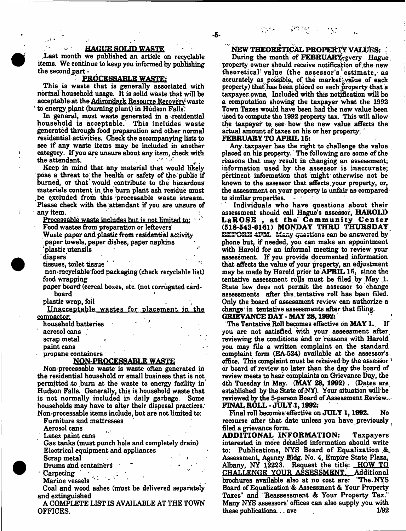#### **HAGUE SOLID WASTE**

Last month we published an article on recyclable items. We continue to keep you informed by publishing the second part -

#### PROCESSARLE WASTE:

This is waste that is generally associated with normal household usage. It is solid waste that will be acceptable at the Adirondack Resource Recovery waste to energy plant (burning plant) in Hudson Falls.

In general, most waste generated in a residential household is acceptable. This includes waste generated through food preparation and other normal residential activities. Check the accompanying lists to see if any waste items may be included in another category. If you are unsure about any item, check with the attendant.

Keep in mind that any material that would likely pose a threat to the health or safety of the public if burned, or that would contribute to the hazardous materials content in the bum plant ash residue must be excluded from this processable waste stream. Please check with the attendant if you are unsure of any item.

Processable waste includes but is not limited to:

Food wastes from preparation or leftovers

Waste paper and plastic from residential activity

paper towels, paper dishes, paper napkins

-plastic utensils

diapers'

tissues, toilet tissue

non-recyclable food packaging (check recyclable list) food wrapping

paper board (cereal boxes, etc. (not corrugated cardboard

plastic wrap, foil

Unacceptable wastes for placement in the compactor;

household batteries

aerosol cans ,

scrap metal

paint cans

propane containers

#### NQN PROCESSABLE WASTE

Non-processable waste is waste often generated in the residential household or small business that is not permitted to burn at the waste to energy facility in Hudson Falls. Generally, this is household waste that is not normally included in daily garbage. Some households may have to alter their disposal practices. Non-processable items include, but are not limited to:

Furniture and mattresses

Aerosol cans

Latex paint cans

Gas tanks (must punch hole and completely drain) Electrical equipment and appliances Scrap metal

Drums and containers carpeting in the case of  $\mathcal{L}$ Marine vessels ''\* \* - \* ■

Coal and wood ashes (must be delivered separately and extinguished

A COMPLETE LIST IS AVAILABLE AT THE TOWN OFFICES.

**NEW THEORETICAL PROPERTY VALUES:**

During the month of **FEBRUARY** every **Hague**. property owner should receive notification of.the new theoretical' value (the assessor's estimate, as accurately as possible, of the market value of each property) that has been placed on each property that a taxpayer owns. Included with this notification will be a computation showing the taxpayer what the 1992 Town Taxes would have been had the new value been used to compute the 1992 property tax. This will allow the taxpayer' to. see how the new value affects the actual amount of taxes on his or her property. "

#### **FEBRUARY TO APRIL 15:**

Any taxpayer has the right to challenge the value placed on his property. The following are some of the reasons that may result in changing an assessment; information used by the assessor is inaccurate; pertinent information that might otherwise not be known to the assessor that affects.your property, or, the assessment on your property is unfair as compared to similar properties.

Individuals who have questions about their assessment should call Hague's assessor, HAROLD LaROSE, at the Community Center (518-543-6161) MONDAY THRU THURSDAY BEFORE 4PM. Many questions can be answered by phone but, if needed, you can make an appointment with Harold for an informal meeting to review your assessment. If you provide documented information that affects the value of your property, an adjustment may be made by Harold prior to APRIL 15, since the tentative assessment rolls must be filed by May 1. State law does not permit the assessor to change assessments after the.tentative roll has been filed. Only the board of assessment review can authorize a change' in tentative assessments after that filing. GRIEVANCE DAY-MAY 28,1962: '

The Tentative Roll becomes effective on **MAY 1.** If you are not satisfied with your assessment after reviewing the conditions and or reasons with Harold, you may file a written complaint on the standard complaint form (EA-524) available at the assessor's office. This complaint must be received by the assessor *'\** or board of review no later than the day the board of review meets to hear complaints on Grievance Day, the 4th Tuesday in May. (MAY 28, 1992) . (Dates are. established by the State of.NY). Your situation will be reviewed by the 5-person Board of Assessment Review., FINAL ROLL - JULY 1,1992:

Final roll becomes effective on JULY 1,1992. No recourse after that date unless you have previously filed a grievance form.

**ADDITIONAL INFORMATION:** Taxpayers interested in more detailed information should write to: Publications, NYS Board of Equalization & Assessment, Agency Bldg. No. 4, Empire. State Plaza, Albany, NY 12223. Request the title: HOW TO CHALLENGE YOUR ASSESSMENT. Additional brochures available also at no cost are: "The.NYS Board of Equalization & Assessment & Your Property Taxes" and "Reassessment & Your Property Tax." Many NYS assessors' offices can also supply you with these publications... avc 1/92

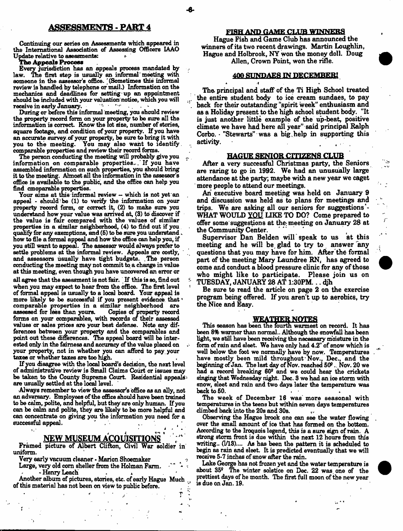Continuing our series on Assessments which appeared in the International Association of Assessing Officers IAAO Update relative to aseasments: *\*■*

#### **The Appeals Process**

Every jurisdiction has an appeals process mandated by law. The first step is usually an informal meeting with someone in the assessor's office. ' (Sometimes this informal review is handled by telephone or mail.) Information on the mechanics and deadlines for setting up an appointment should be included with your valuation notice, which you will  $\frac{1}{2}$ receive in early January.

During or before this informal meeting, you should review the property record form on your property to be sure all the information is correct Know the lot size, number of stories, square footage, and condition of your property. If you have an accurate survey of your property, be sure to bring it with you to the meeting. You may also want to identify. comparable properties and review their record forms.

The person conducting the meeting will probably give you information on comparable properties.. If you have assembled information on such properties, you should bring it to the meeting. Almost all the information in the assessor's office is available to the public, and the office can help you find cmoparable properties.

Your aims at this informal review — which is not yet an appeal - should be (1) to verify the information on your property record farm, or correct it, (2) to make sure you understand how your value was arrived at, (3) to discover if the value is fair compared with the values of similar properties in a similar neighborhood, (4) to find out if you qualify for any exemptions, and (6) to be sure you understand. how to file a formal appeal and how the office can help you, if you still want to appeal. The assessor would always prefer to settle problems at the informal review. Appeals are costly, and assessors usually have tight budgets. .The person conducting the meeting may not commit to. a change in value at this meeting, even though you have uncovered an error or all agree that the asessment is not fair. If this is so, find out when you may expect to hear from the office. The first level of formal appeal is usually to a local board. Your appeal is

more likely to be successful if you present evidence that ' comparable properties in a similar neighborhood are assessed for less than yours. Copies of property record forms on your comparables, with records of their assessed values or sales prices are your best defense. Note any differences between your property and the comparables and point out these differences. Hie appeal board will be interested only in the fairness and accuracy of the value placed on your property, not in whether you can afford to pay your taxes or whether taxes are too high.

If you disagree with the local board's decision, the next level of administrative review is Small Claims Court or issues may be taken to the County Supreme Court. Residential appeals are usually settled at the local level.

Always remember to view the assessor's office as an ally, not an adversary. Employees of the office should have been trained to be calm, polite, ana helpful, but they are only human. If you can be calm and polite, they are likely to be more helpful and can concentrate on giving you the information you need for a successful appeal. i. The contract of the contract of the contract of the contract of the contract of the contract of the contract of the contract of the contract of the contract of the contract of the contract of the contract of the contra

# **NEW MUSEUM ACQUISITIONS**

Framed picture of Albert Clifton, Civil War soldier in uniform.

Very early vacuum cleaner - Marion Shoemaker

Large, very old corn sheller from the Holman Farm. - Henry Leach

Another album of pictures, stories, etc. of early Hague Much . of this material has not been on view to public before.

> T 'n,

#### **FISH AND GAME CLUB WINNERS**

Hague Fish and Game Club has announced the winners of its two recent drawings. Martin Loughlin, Hague and Holbrook, NY won the money doll. Doug Allen, Crown Point, won the rifle.

#### **400 SUNDAES IN DECEMBER!**

The. principal and staff of the Ti High School treated the entire student body to ice cream sundaes, to pay back for their outstanding "spirit week" enthusiasm and as a Holiday present to the high school student body. "It is just another little example of the up-beat, positive climate we have had here all year" said principal Ralph Corbo. "Stewarts" was a big, help in supporting this activity. activity.

#### HAGUE SENIOR CITIZENS CLUB

After a very successful Christmas party, the Seniors are raring to go in 1992. We had an unusually large attendance at the party; maybe with a new year we caget more people to attend our meetings.

An executive board meeting was held on January 9 and discussion was held as to plans for meetings and trips. We are asking all our seniors for suggestions<sup>1</sup>-WHAT WOULD YOU LIKE TO DO? Come prepared to offer some suggestions at the; meeting on January 28 at the Community Center.

Supervisor Dan Belden will speak to us at this meeting and he will be glad to try to answer any questions that you may have for him. After the formal part of the meeting Mary Laundree RN, has agreed to come and conduct a blood pressure clinic for any of those who might like to participate. Please join us on TUESDAY, JANUARY 28 AT 1:30PM...

Be sure to read the article on page 2 on the exercise program being offered. If you aren't up to aerobics, try the Nice and Easy.

#### **WEATHER NOTES**

This season has been the fourth warmest on record. It has been 8% warmer than normal.. Although the snowfall has been light, we still have been receiving the necessary moisture in the form of rain and sleet. We have only had 4.2" of snow which is well below the foot we normally have by now. Temperatures have mostly been mild throughout'Nov., Dec., and the beginning of Jan. The last day of Nov. reached  $50^{\circ}$  . Nov.  $20$  we had a record breaking 60° and we could hear the crickets singing that Wednesday night. Dec. 3 we had an ice storm with snow, sleet and rain and two days later the temperature was back to 50.

The week of December 16 was' more seasonal with temperatures in the teens but within seven days temperatures climbed back into the 20s and 80s.

Observing the Hague brook one can see the water flowing over the small amount of ice that has formed on the bottom. According to the Iroquois legend, this is a sure sign of rain. A strong storm front is due within the next 12 hours from this writing.. (1/13).... As has been the pattern it is scheduled to begin as rain and sleet. It is predicted eventually that we will receive 5-7 inches of snow after the rain.

Lake George has not frozen yet and the water temperature is about 35° The winter solstice on Dec. 22 was one of the prettiest days of he month. The first full moon of the new year is due on Jan. 19.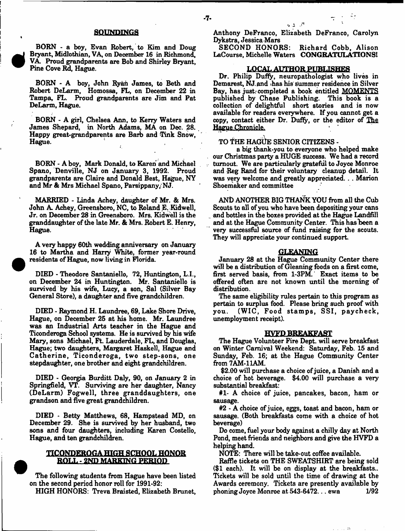#### SOUNDINGS

BORN - a boy, Evan Robert, to Kim and Doug Bryant, Midlothian, VA, on December 16 in Richmond, VA. Proud grandparents are Bob and Shirley Bryant, Pine Cove Rd, Hague.

BORN - A boy, John Ryan James, to Beth and Robert DeLarm, Homossa, FL, on December 22 in Tampa, PL. Proud grandparents are Jim and Pat DeLarm, Hague.

BORN - A girl, Chelsea Ann, to Kerry Waters and James Shepard, in North Adams, MA on Dec. 28. Happy great-grandparents are Barb and Tink Snow, Hague.  $\mathcal{L}$ 

BORN - A boy, Mark Donald, to Karen and Michael Spano, Denville, NJ on January 3, 1992. Proud grandparents are Claire and Donald Best, Hague, NY and Mr & Mrs Michael Spano, Parsippany/NJ.

MARRIED - Linda Achey, daughter of Mr. & Mrs. John A. Achey, Greensboro, NO, to Roland E. Kidwell, Jr. on December 28 in Greensboro. Mrs. Kidwell is the granddaughter of the late Mr. & Mrs. Robert E. Henry, Hague.

A very happy 60th wedding anniversary on January 16 to Martha and Harry White, former year-round residents of Hague, now living in Florida

DIED - Theodore Santaniello, 72, Huntington, L.I., on December 24 in Huntington. Mr. Santaniello is survived by his wife, Lucy, a son, Sal (Silver Bay General Store), a daughter and five grandchildren.

DIED - Raymond H. Laundree, 69, Lake Shore Drive, Hague, on December 25 at his home. Mr. Laundree was an Industrial Arts teacher in the Hague and Ticonderoga School systems. He is survived by his wife Mary, sons Michael, Ft. Lauderdale, FL, and Douglas, Hague; two daughters, Margaret Haskell, Hague and Catherine, Ticonderoga, two step-sons, one stepdaughter, one brother and eight grandchildren.

DIED - Georgia Burditt Daly, 90, on January 2 in Springfield, VT. Surviving are her daughter, Nancy (DeLarm) Fogwell, three granddaughters, one grandson and five great grandchildren.

DIED - Betty Matthews, 68, Hampstead MD, on December 29. She is survived by her husband, two sons and four daughters, including Karen Costello, Hague, and ten grandchildren.

#### TICONDEROGA HIGH SCHOOL HONOR BOLL - 2ND MARKING PERIOD

The following students from Hague have been listed on the second period honor roll for 1991-92: HIGH HONORS: Treva Braisted, Elizabeth Brunet,

Richard Cobb, Alison LaCourse, Michelle Waters CONGRATULATIONS!

#### LOCAL AUTHOR PUBLISHES

Dr. Philip Duffy, neuropathologist who lives in Demarest, NJ and has his summer residence in Silver Bay, has just, completed a book entitled MOMENTS published by Chase Publishing. This book is a collection of delightful short stories and is now available for readers everywhere. If you cannot get a copy, contact either Dr. Duffy, or the editor of The Hague Chronicle.

### TO THE HAGUE SENIOR CITIZENS -

a big thank-you to everyone who helped make our Christmas party a HUGE success. We had a record turnout. We are particularly grateful to Joyce Monroe and Reg Rand for their voluntary cleanup detail. It was very welcome and greatly appreciated. . . Marion Shoemaker and committee

AND ANOTHER BIG THANK YOU from all the Cub Scouts to all of you who have been depositing your cans and bottles in the boxes provided at the Hague Landfill and at the Hague Community Center. This has been a very successful source of fund raising for the scouts. They will appreciate your continued support.

#### **GLEANING**

January 28 at the Hague Community Center there will be a distribution of Gleaning foods on a first come, first served basis, from 1-3PM. Exact items to be offered often are not known until the morning of distribution.

The same eligibility rules pertain to this program as pertain to surplus food. Please bring such proof with you. (WIC, Food stamps, SSI, paycheck, unemployment receipt).

#### **HVFD BREAKFAST**

The Hague Volunteer Fire Dept, will serve breakfast on Winter Carnival Weekend: Saturday, Feb. 15 and Sunday, Feb. 16; at the Hague Community Center from 7 AM-11AM.

\$2.00 will purchase a choice of juice, a Danish and a choice of hot beverage. \$4.00 will purchase a very substantial breakfast:

#1- A choice of juice, pancakes, bacon, ham or sausage.

#2 - A choice of juice, eggs, toast and bacon, ham or sausage. (Both breakfasts come with a choice of hot beverage)

Do come, fuel your body against a chilly day at North Pond, meet friends and neighbors and give the HVFD a helping hand.

NOTE: There will be take-out coffee available.

Raffle tickets on THE SWEATSHIRT are being sold (\$1 each). It will be on display at the breakfasts.. Tickets will be sold until the time of drawing at the Awards ceremony. Tickets are presently available by<br>phoning Joyce Monroe at 543-6472...ewa 1/92 phoning Joyce Monroe at 543-6472... ewa